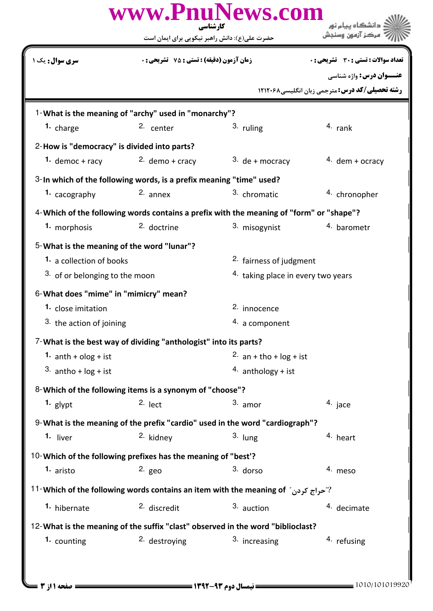|                                                                                         | www.PnuNews.com<br>کار شناسی                                                                 |                                    |                                                         |  |  |  |
|-----------------------------------------------------------------------------------------|----------------------------------------------------------------------------------------------|------------------------------------|---------------------------------------------------------|--|--|--|
|                                                                                         | حضرت علی(ع): دانش راهبر نیکویی برای ایمان است                                                |                                    |                                                         |  |  |  |
| <b>سری سوال :</b> یک ۱                                                                  | <b>زمان آزمون (دقیقه) : تستی : 75 ٪ تشریحی : 0</b>                                           |                                    | <b>تعداد سوالات : تستی : 30 ٪ تشریحی : 0</b>            |  |  |  |
|                                                                                         |                                                                                              |                                    | <b>عنـــوان درس:</b> واژه شناسی                         |  |  |  |
|                                                                                         |                                                                                              |                                    | <b>رشته تحصیلی/کد درس: مترجمی زبان انگلیسی، ۱۲۱۲۰۶۸</b> |  |  |  |
|                                                                                         | 1-What is the meaning of "archy" used in "monarchy"?                                         |                                    |                                                         |  |  |  |
| 1. charge                                                                               | 2. center                                                                                    | 3. ruling                          | $4.$ rank                                               |  |  |  |
| 2-How is "democracy" is divided into parts?                                             |                                                                                              |                                    |                                                         |  |  |  |
| 1. democ + racy                                                                         | $2.$ demo + cracy                                                                            | $3.$ de + mocracy                  | $4.$ dem + ocracy                                       |  |  |  |
|                                                                                         | 3-In which of the following words, is a prefix meaning "time" used?                          |                                    |                                                         |  |  |  |
| 1. cacography                                                                           | 2. annex                                                                                     | 3. chromatic                       | 4. chronopher                                           |  |  |  |
| 4-Which of the following words contains a prefix with the meaning of "form" or "shape"? |                                                                                              |                                    |                                                         |  |  |  |
| 1. morphosis                                                                            | 2. doctrine                                                                                  | 3. misogynist                      | 4. barometr                                             |  |  |  |
| 5-What is the meaning of the word "lunar"?                                              |                                                                                              |                                    |                                                         |  |  |  |
| <b>1.</b> a collection of books                                                         |                                                                                              | 2. fairness of judgment            |                                                         |  |  |  |
| 3. of or belonging to the moon                                                          |                                                                                              | 4. taking place in every two years |                                                         |  |  |  |
| 6-What does "mime" in "mimicry" mean?                                                   |                                                                                              |                                    |                                                         |  |  |  |
| 1. close imitation                                                                      |                                                                                              | 2. innocence                       |                                                         |  |  |  |
| 3. the action of joining                                                                |                                                                                              | 4. a component                     |                                                         |  |  |  |
|                                                                                         | 7-What is the best way of dividing "anthologist" into its parts?                             |                                    |                                                         |  |  |  |
| 1. $\text{anth} + \text{olog} + \text{ist}$                                             |                                                                                              | 2. $an + tho + log + ist$          |                                                         |  |  |  |
| 3. antho + $log + ist$                                                                  |                                                                                              | 4. anthology + ist                 |                                                         |  |  |  |
|                                                                                         | 8-Which of the following items is a synonym of "choose"?                                     |                                    |                                                         |  |  |  |
| 1. glypt                                                                                | $2.$ lect                                                                                    | 3. amor                            | 4. jace                                                 |  |  |  |
|                                                                                         | 9-What is the meaning of the prefix "cardio" used in the word "cardiograph"?                 |                                    |                                                         |  |  |  |
| 1. liver                                                                                | <sup>2.</sup> kidney                                                                         | $3.$ lung                          | 4. heart                                                |  |  |  |
| 10-Which of the following prefixes has the meaning of "best'?                           |                                                                                              |                                    |                                                         |  |  |  |
| 1. aristo                                                                               | $2.$ geo                                                                                     | 3. dorso                           | 4. meso                                                 |  |  |  |
|                                                                                         | <sup>11</sup> -Which of the following words contains an item with the meaning of "حراج کردن" |                                    |                                                         |  |  |  |
| <sup>1</sup> hibernate                                                                  | <sup>2.</sup> discredit                                                                      | 3. auction                         | 4. decimate                                             |  |  |  |
| 12-What is the meaning of the suffix "clast" observed in the word "biblioclast?         |                                                                                              |                                    |                                                         |  |  |  |
| 1. counting                                                                             | <sup>2.</sup> destroying                                                                     | 3. increasing                      | 4. refusing                                             |  |  |  |
|                                                                                         |                                                                                              |                                    |                                                         |  |  |  |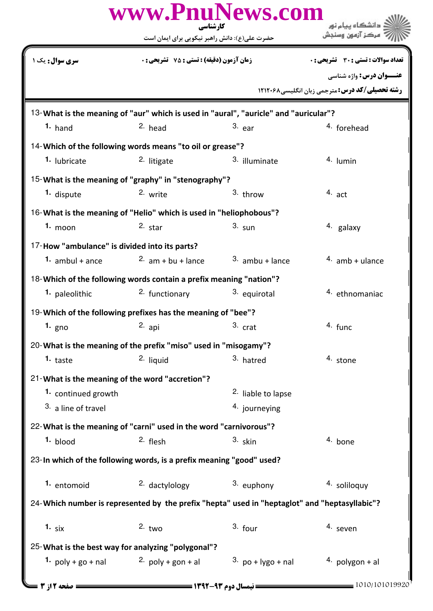|                                                 | www.PnuNews.com<br>کارشناسی                                                                   |                               | دانشگاه پیام نور                                       |
|-------------------------------------------------|-----------------------------------------------------------------------------------------------|-------------------------------|--------------------------------------------------------|
|                                                 | حضرت علی(ع): دانش راهبر نیکویی برای ایمان است                                                 |                               | مركز آزمون وسنجش                                       |
| <b>سری سوال:</b> یک                             | <b>زمان آزمون (دقیقه) : تستی : 75 ٪ تشریحی : 0</b>                                            |                               | <b>تعداد سوالات : تستی : 30 ٪ تشریحی : 0</b>           |
|                                                 |                                                                                               |                               | <b>عنــوان درس:</b> واژه شناسی                         |
|                                                 |                                                                                               |                               | <b>رشته تحصیلی/کد درس: مترجمی زبان انگلیسی ۱۲۱۲۰۶۸</b> |
|                                                 | 13-What is the meaning of "aur" which is used in "aural", "auricle" and "auricular"?          |                               |                                                        |
| $1.$ hand                                       | 2. head                                                                                       | $3.$ ear                      | <sup>4</sup> forehead                                  |
|                                                 | 14-Which of the following words means "to oil or grease"?                                     |                               |                                                        |
| 1. lubricate                                    | <sup>2.</sup> litigate                                                                        | 3. illuminate                 | 4. Iumin                                               |
|                                                 | 15-What is the meaning of "graphy" in "stenography"?                                          |                               |                                                        |
| 1. dispute                                      | 2. write                                                                                      | $3.$ throw                    | $4.$ act                                               |
|                                                 | 16-What is the meaning of "Helio" which is used in "heliophobous"?                            |                               |                                                        |
| $1.$ moon                                       | $2.$ star                                                                                     | $3. \text{sun}$               | 4. galaxy                                              |
| 17-How "ambulance" is divided into its parts?   |                                                                                               |                               |                                                        |
| 1. $ambul +ance$                                | $2.$ am + bu + lance                                                                          | $3.$ ambu + lance             | $4.$ amb + ulance                                      |
|                                                 | 18-Which of the following words contain a prefix meaning "nation"?                            |                               |                                                        |
| 1. paleolithic                                  | 2. functionary                                                                                | 3. equirotal                  | <sup>4.</sup> ethnomaniac                              |
|                                                 | 19-Which of the following prefixes has the meaning of "bee"?                                  |                               |                                                        |
| 1. $gno$                                        | 2. api                                                                                        | 3. crat                       | 4. func                                                |
|                                                 | 20-What is the meaning of the prefix "miso" used in "misogamy"?                               |                               |                                                        |
| 1. taste                                        | 2. liquid                                                                                     | 3. hatred                     | 4. stone                                               |
| 21-What is the meaning of the word "accretion"? |                                                                                               |                               |                                                        |
| 1. continued growth                             |                                                                                               | <sup>2.</sup> liable to lapse |                                                        |
| 3. a line of travel                             |                                                                                               | 4. journeying                 |                                                        |
|                                                 | 22- What is the meaning of "carni" used in the word "carnivorous"?                            |                               |                                                        |
| 1. blood                                        | 2. flesh                                                                                      | 3. skin                       | 4. bone                                                |
|                                                 | 23-In which of the following words, is a prefix meaning "good" used?                          |                               |                                                        |
| 1. entomoid                                     | 2. dactylology                                                                                | 3. euphony                    | 4. soliloquy                                           |
|                                                 | 24-Which number is represented by the prefix "hepta" used in "heptaglot" and "heptasyllabic"? |                               |                                                        |
| 1. $six$                                        | $2.$ two                                                                                      | $3.$ four                     | 4. seven                                               |
|                                                 | 25-What is the best way for analyzing "polygonal"?                                            |                               |                                                        |
| 1. $poly + go + nal$                            | 2. $poly + gon + al$                                                                          | 3. $po + lygO + nal$          | $4.$ polygon + al                                      |
| صفحه 12ز 3                                      | = نیمسال دوم ۹۳-۱۳۹۲ ======                                                                   |                               | 1010/101019920                                         |